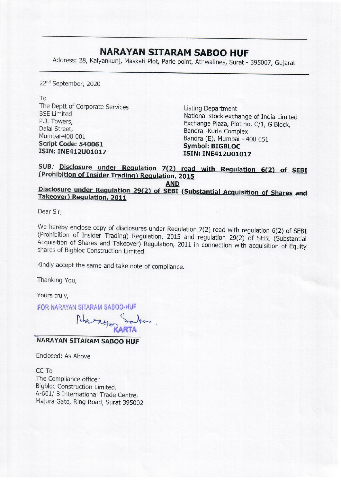## NARAYAN SITARAM SABOO HUF

**NARAYAN SITAF**<br>Address: 28, Kalyankunj, Maskati Plot, Park Address: 28, Kalyankunj, Maskati Plot, Parle point, Athwalines, Surat - 395007, Gujarat

22<sup>nd</sup> September, 2020

To

The Deptt of Corporate Services<br>
BSE Limited<br>
R.J. Towers,<br>
Dalal Street,<br>
Dalal Street,<br>
Mumbai-400 001<br>
Script Code: 540061<br>
Script Code: 540061<br>
SSEN: INE412U01017<br>
SSEN: INE412U01017<br>
SSEN: INE412U01017<br>
SSEN: INE412U0

## SUB. Disclosure under Regulation 7(2) read with Regulation 6(2) of SEBI (Prohibition of Insider Trading) Regulation, 2015

## AND<br>Disclosure under Regulation 29(2) of SEBI (Substantial Acquisition of Shares and<br>Takeover) Regulation, 2011

Dear Sir,

We hereby enclose copy of disclosures under Regulation 7(2) read with regulation 6(2) of SEBI (Prohibition of Insider Trading) Regulation, 2015 and regulation 29(2) of SEBI (Substantial Acquisition of Shares and Takeover)

Kindly accept the same and take note of compliance.

Thanking You,

Yours truly,

FOR NARAYAN SITARAM SABQO-HUF

Nazaya Saba.

## "NARAYAN SITARAM SABOO HUF

Enclosed: As Above

CC To The Compliance officer Bigbloc Construction Limited. A-601/ B International Trade Centre, Majura Gate, Ring Road, Surat 395002